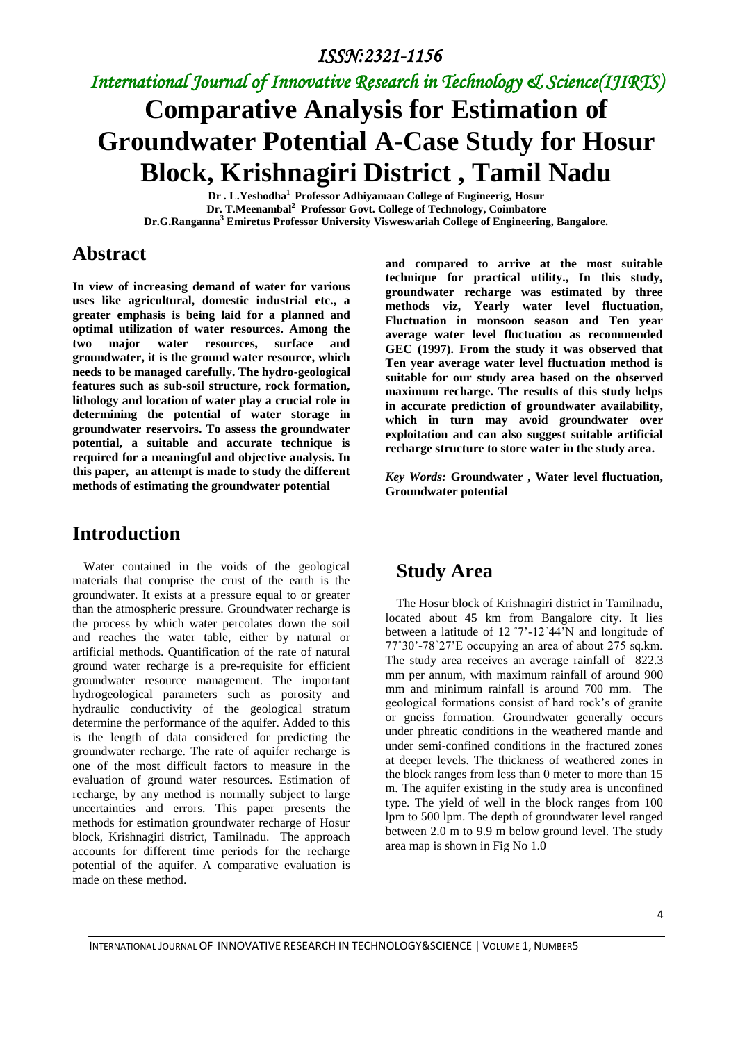# *International Journal of Innovative Research in Technology & Science(IJIRTS)* **Comparative Analysis for Estimation of Groundwater Potential A-Case Study for Hosur**

**Block, Krishnagiri District , Tamil Nadu Dr . L.Yeshodha<sup>1</sup>Professor Adhiyamaan College of Engineerig, Hosur Dr. T.Meenambal<sup>2</sup> Professor Govt. College of Technology, Coimbatore Dr.G.Ranganna<sup>3</sup> Emiretus Professor University Visweswariah College of Engineering, Bangalore.** 

#### **Abstract**

**In view of increasing demand of water for various uses like agricultural, domestic industrial etc., a greater emphasis is being laid for a planned and optimal utilization of water resources. Among the two major water resources, surface and groundwater, it is the ground water resource, which needs to be managed carefully. The hydro-geological features such as sub-soil structure, rock formation, lithology and location of water play a crucial role in determining the potential of water storage in groundwater reservoirs. To assess the groundwater potential, a suitable and accurate technique is required for a meaningful and objective analysis. In this paper, an attempt is made to study the different methods of estimating the groundwater potential** 

## **Introduction**

Water contained in the voids of the geological materials that comprise the crust of the earth is the groundwater. It exists at a pressure equal to or greater than the atmospheric pressure. Groundwater recharge is the process by which water percolates down the soil and reaches the water table, either by natural or artificial methods. Quantification of the rate of natural ground water recharge is a pre-requisite for efficient groundwater resource management. The important hydrogeological parameters such as porosity and hydraulic conductivity of the geological stratum determine the performance of the aquifer. Added to this is the length of data considered for predicting the groundwater recharge. The rate of aquifer recharge is one of the most difficult factors to measure in the evaluation of ground water resources. Estimation of recharge, by any method is normally subject to large uncertainties and errors. This paper presents the methods for estimation groundwater recharge of Hosur block, Krishnagiri district, Tamilnadu. The approach accounts for different time periods for the recharge potential of the aquifer. A comparative evaluation is made on these method.

**and compared to arrive at the most suitable technique for practical utility., In this study, groundwater recharge was estimated by three methods viz, Yearly water level fluctuation, Fluctuation in monsoon season and Ten year average water level fluctuation as recommended GEC (1997). From the study it was observed that Ten year average water level fluctuation method is suitable for our study area based on the observed maximum recharge. The results of this study helps in accurate prediction of groundwater availability, which in turn may avoid groundwater over exploitation and can also suggest suitable artificial recharge structure to store water in the study area.** 

*Key Words:* **Groundwater , Water level fluctuation, Groundwater potential**

## **Study Area**

The Hosur block of Krishnagiri district in Tamilnadu, located about 45 km from Bangalore city. It lies between a latitude of 12 ˚7'-12˚44'N and longitude of 77˚30'-78˚27'E occupying an area of about 275 sq.km. The study area receives an average rainfall of 822.3 mm per annum, with maximum rainfall of around 900 mm and minimum rainfall is around 700 mm. The geological formations consist of hard rock's of granite or gneiss formation. Groundwater generally occurs under phreatic conditions in the weathered mantle and under semi-confined conditions in the fractured zones at deeper levels. The thickness of weathered zones in the block ranges from less than 0 meter to more than 15 m. The aquifer existing in the study area is unconfined type. The yield of well in the block ranges from 100 lpm to 500 lpm. The depth of groundwater level ranged between 2.0 m to 9.9 m below ground level. The study area map is shown in Fig No 1.0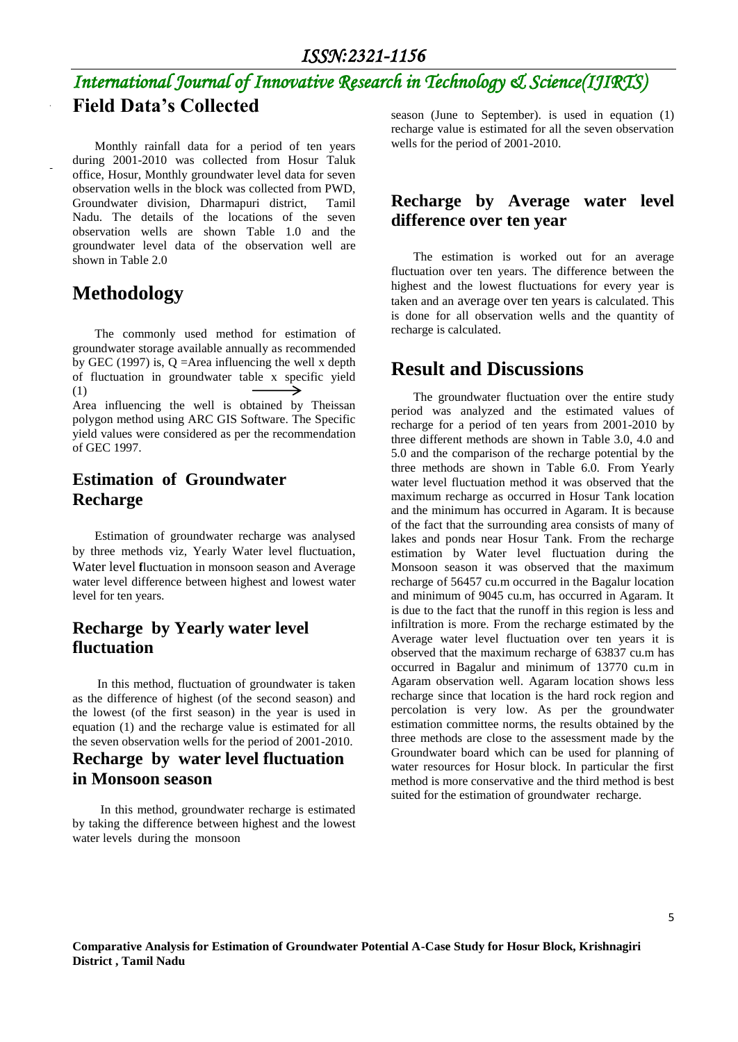## *International Journal of Innovative Research in Technology & Science(IJIRTS)* **Field Data's Collected**

Monthly rainfall data for a period of ten years during 2001-2010 was collected from Hosur Taluk office, Hosur, Monthly groundwater level data for seven observation wells in the block was collected from PWD, Groundwater division, Dharmapuri district, Tamil Nadu. The details of the locations of the seven observation wells are shown Table 1.0 and the groundwater level data of the observation well are shown in Table 2.0

#### **Methodology**

The commonly used method for estimation of groundwater storage available annually as recommended by GEC (1997) is,  $Q =$ Area influencing the well x depth of fluctuation in groundwater table x specific yield ↘ (1) Area influencing the well is obtained by Theissan

polygon method using ARC GIS Software. The Specific yield values were considered as per the recommendation of GEC 1997.

#### **Estimation of Groundwater Recharge**

Estimation of groundwater recharge was analysed by three methods viz, Yearly Water level fluctuation, Water level **f**luctuation in monsoon season and Average water level difference between highest and lowest water level for ten years.

#### **Recharge by Yearly water level fluctuation**

 In this method, fluctuation of groundwater is taken as the difference of highest (of the second season) and the lowest (of the first season) in the year is used in equation (1) and the recharge value is estimated for all the seven observation wells for the period of 2001-2010.

#### **Recharge by water level fluctuation in Monsoon season**

 In this method, groundwater recharge is estimated by taking the difference between highest and the lowest water levels during the monsoon

season (June to September). is used in equation (1) recharge value is estimated for all the seven observation wells for the period of 2001-2010.

#### **Recharge by Average water level difference over ten year**

The estimation is worked out for an average fluctuation over ten years. The difference between the highest and the lowest fluctuations for every year is taken and an average over ten years is calculated. This is done for all observation wells and the quantity of recharge is calculated.

#### **Result and Discussions**

The groundwater fluctuation over the entire study period was analyzed and the estimated values of recharge for a period of ten years from 2001-2010 by three different methods are shown in Table 3.0, 4.0 and 5.0 and the comparison of the recharge potential by the three methods are shown in Table 6.0. From Yearly water level fluctuation method it was observed that the maximum recharge as occurred in Hosur Tank location and the minimum has occurred in Agaram. It is because of the fact that the surrounding area consists of many of lakes and ponds near Hosur Tank. From the recharge estimation by Water level fluctuation during the Monsoon season it was observed that the maximum recharge of 56457 cu.m occurred in the Bagalur location and minimum of 9045 cu.m, has occurred in Agaram. It is due to the fact that the runoff in this region is less and infiltration is more. From the recharge estimated by the Average water level fluctuation over ten years it is observed that the maximum recharge of 63837 cu.m has occurred in Bagalur and minimum of 13770 cu.m in Agaram observation well. Agaram location shows less recharge since that location is the hard rock region and percolation is very low. As per the groundwater estimation committee norms, the results obtained by the three methods are close to the assessment made by the Groundwater board which can be used for planning of water resources for Hosur block. In particular the first method is more conservative and the third method is best suited for the estimation of groundwater recharge.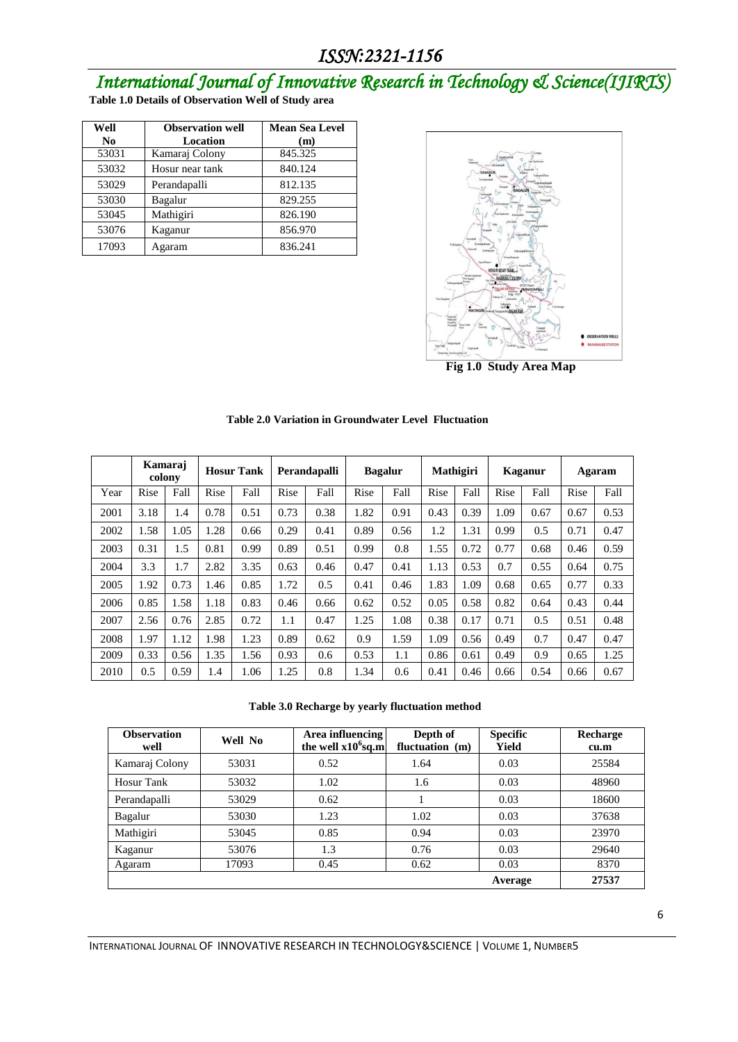# *International Journal of Innovative Research in Technology & Science(IJIRTS)*

|  | Table 1.0 Details of Observation Well of Study area |  |
|--|-----------------------------------------------------|--|
|  |                                                     |  |

| Well           | <b>Observation well</b> | <b>Mean Sea Level</b> |
|----------------|-------------------------|-----------------------|
| N <sub>0</sub> | Location                | (m)                   |
| 53031          | Kamaraj Colony          | 845.325               |
| 53032          | Hosur near tank         | 840.124               |
| 53029          | Perandapalli            | 812.135               |
| 53030          | Bagalur                 | 829.255               |
| 53045          | Mathigiri               | 826.190               |
| 53076          | Kaganur                 | 856.970               |
| 17093          | Agaram                  | 836.241               |



**Fig 1.0 Study Area Map**

|  |  |  |  |  | Table 2.0 Variation in Groundwater Level Fluctuation |
|--|--|--|--|--|------------------------------------------------------|
|--|--|--|--|--|------------------------------------------------------|

|      |      | Kamaraj<br>colony |      | <b>Hosur Tank</b> |      | Perandapalli |      | <b>Bagalur</b> |      | Mathigiri |      | Kaganur |      | Agaram |
|------|------|-------------------|------|-------------------|------|--------------|------|----------------|------|-----------|------|---------|------|--------|
| Year | Rise | Fall              | Rise | Fall              | Rise | Fall         | Rise | Fall           | Rise | Fall      | Rise | Fall    | Rise | Fall   |
| 2001 | 3.18 | 1.4               | 0.78 | 0.51              | 0.73 | 0.38         | 1.82 | 0.91           | 0.43 | 0.39      | 1.09 | 0.67    | 0.67 | 0.53   |
| 2002 | 1.58 | 1.05              | 1.28 | 0.66              | 0.29 | 0.41         | 0.89 | 0.56           | 1.2  | 1.31      | 0.99 | 0.5     | 0.71 | 0.47   |
| 2003 | 0.31 | 1.5               | 0.81 | 0.99              | 0.89 | 0.51         | 0.99 | 0.8            | 1.55 | 0.72      | 0.77 | 0.68    | 0.46 | 0.59   |
| 2004 | 3.3  | 1.7               | 2.82 | 3.35              | 0.63 | 0.46         | 0.47 | 0.41           | 1.13 | 0.53      | 0.7  | 0.55    | 0.64 | 0.75   |
| 2005 | 1.92 | 0.73              | 1.46 | 0.85              | 1.72 | 0.5          | 0.41 | 0.46           | 1.83 | 1.09      | 0.68 | 0.65    | 0.77 | 0.33   |
| 2006 | 0.85 | 1.58              | 1.18 | 0.83              | 0.46 | 0.66         | 0.62 | 0.52           | 0.05 | 0.58      | 0.82 | 0.64    | 0.43 | 0.44   |
| 2007 | 2.56 | 0.76              | 2.85 | 0.72              | 1.1  | 0.47         | 1.25 | 1.08           | 0.38 | 0.17      | 0.71 | 0.5     | 0.51 | 0.48   |
| 2008 | 1.97 | 1.12              | 1.98 | 1.23              | 0.89 | 0.62         | 0.9  | 1.59           | 1.09 | 0.56      | 0.49 | 0.7     | 0.47 | 0.47   |
| 2009 | 0.33 | 0.56              | 1.35 | 1.56              | 0.93 | 0.6          | 0.53 | 1.1            | 0.86 | 0.61      | 0.49 | 0.9     | 0.65 | 1.25   |
| 2010 | 0.5  | 0.59              | 1.4  | 1.06              | 1.25 | 0.8          | 1.34 | 0.6            | 0.41 | 0.46      | 0.66 | 0.54    | 0.66 | 0.67   |

**Table 3.0 Recharge by yearly fluctuation method**

| <b>Observation</b><br>well | Well No | Area influencing<br>the well $x10^6$ sq.m | Depth of<br>fluctuation (m) | <b>Specific</b><br>Yield | Recharge<br>cu.m |
|----------------------------|---------|-------------------------------------------|-----------------------------|--------------------------|------------------|
| Kamaraj Colony             | 53031   | 0.52                                      | 1.64                        | 0.03                     | 25584            |
| Hosur Tank                 | 53032   | 1.02                                      | 1.6                         | 0.03                     | 48960            |
| Perandapalli               | 53029   | 0.62                                      |                             | 0.03                     | 18600            |
| Bagalur                    | 53030   | 1.23                                      | 1.02                        | 0.03                     | 37638            |
| Mathigiri                  | 53045   | 0.85                                      | 0.94                        | 0.03                     | 23970            |
| Kaganur                    | 53076   | 1.3                                       | 0.76                        | 0.03                     | 29640            |
| Agaram                     | 17093   | 0.45                                      | 0.62                        | 0.03                     | 8370             |
|                            |         |                                           |                             | Average                  | 27537            |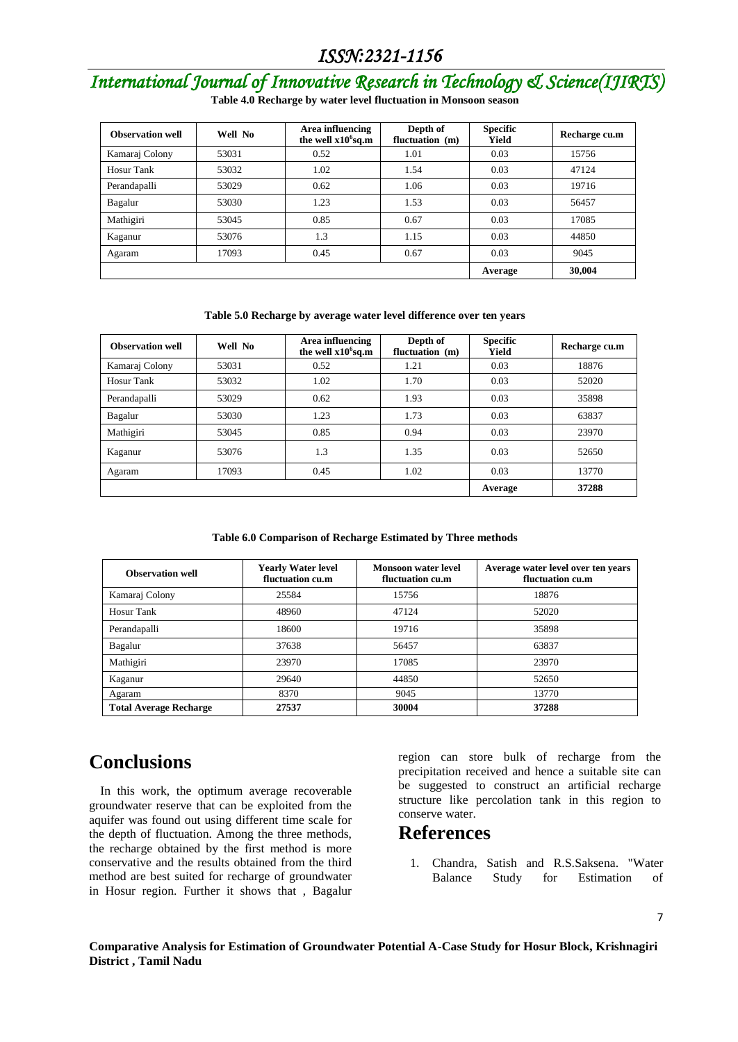# *International Journal of Innovative Research in Technology & Science(IJIRTS)*

**Table 4.0 Recharge by water level fluctuation in Monsoon season**

| <b>Observation well</b> | Well No | Area influencing<br>the well x10 <sup>6</sup> sq.m | Depth of<br>fluctuation (m) | <b>Specific</b><br>Yield | Recharge cu.m |
|-------------------------|---------|----------------------------------------------------|-----------------------------|--------------------------|---------------|
| Kamaraj Colony          | 53031   | 0.52                                               | 1.01                        | 0.03                     | 15756         |
| Hosur Tank              | 53032   | 1.02                                               | 1.54                        | 0.03                     | 47124         |
| Perandapalli            | 53029   | 0.62                                               | 1.06                        | 0.03                     | 19716         |
| Bagalur                 | 53030   | 1.23                                               | 1.53                        | 0.03                     | 56457         |
| Mathigiri               | 53045   | 0.85                                               | 0.67                        | 0.03                     | 17085         |
| Kaganur                 | 53076   | 1.3                                                | 1.15                        | 0.03                     | 44850         |
| Agaram                  | 17093   | 0.45                                               | 0.67                        | 0.03                     | 9045          |
|                         |         |                                                    |                             | Average                  | 30,004        |

#### **Table 5.0 Recharge by average water level difference over ten years**

| <b>Observation well</b> | Well No | Area influencing<br>the well $x106$ sq.m | Depth of<br>fluctuation (m) | <b>Specific</b><br>Yield | Recharge cu.m |
|-------------------------|---------|------------------------------------------|-----------------------------|--------------------------|---------------|
| Kamaraj Colony          | 53031   | 0.52                                     | 1.21                        | 0.03                     | 18876         |
| Hosur Tank              | 53032   | 1.02                                     | 1.70                        | 0.03                     | 52020         |
| Perandapalli            | 53029   | 0.62                                     | 1.93                        | 0.03                     | 35898         |
| Bagalur                 | 53030   | 1.23                                     | 1.73                        | 0.03                     | 63837         |
| Mathigiri               | 53045   | 0.85                                     | 0.94                        | 0.03                     | 23970         |
| Kaganur                 | 53076   | 1.3                                      | 1.35                        | 0.03                     | 52650         |
| Agaram                  | 17093   | 0.45                                     | 1.02                        | 0.03                     | 13770         |
|                         |         |                                          |                             | Average                  | 37288         |

#### **Table 6.0 Comparison of Recharge Estimated by Three methods**

| <b>Observation well</b>       | <b>Yearly Water level</b><br>fluctuation cu.m | <b>Monsoon water level</b><br>fluctuation cu.m | Average water level over ten years<br>fluctuation cu.m |
|-------------------------------|-----------------------------------------------|------------------------------------------------|--------------------------------------------------------|
| Kamaraj Colony                | 25584                                         | 15756                                          | 18876                                                  |
| Hosur Tank                    | 48960                                         | 47124                                          | 52020                                                  |
| Perandapalli                  | 18600                                         | 19716                                          | 35898                                                  |
| Bagalur                       | 37638                                         | 56457                                          | 63837                                                  |
| Mathigiri                     | 23970                                         | 17085                                          | 23970                                                  |
| Kaganur                       | 29640                                         | 44850                                          | 52650                                                  |
| Agaram                        | 8370                                          | 9045                                           | 13770                                                  |
| <b>Total Average Recharge</b> | 27537                                         | 30004                                          | 37288                                                  |

#### **Conclusions**

In this work, the optimum average recoverable groundwater reserve that can be exploited from the aquifer was found out using different time scale for the depth of fluctuation. Among the three methods, the recharge obtained by the first method is more conservative and the results obtained from the third method are best suited for recharge of groundwater in Hosur region. Further it shows that , Bagalur region can store bulk of recharge from the precipitation received and hence a suitable site can be suggested to construct an artificial recharge structure like percolation tank in this region to conserve water.

#### **References**

1. Chandra, Satish and R.S.Saksena. "Water Balance Study for Estimation of

7

**Comparative Analysis for Estimation of Groundwater Potential A-Case Study for Hosur Block, Krishnagiri District , Tamil Nadu**